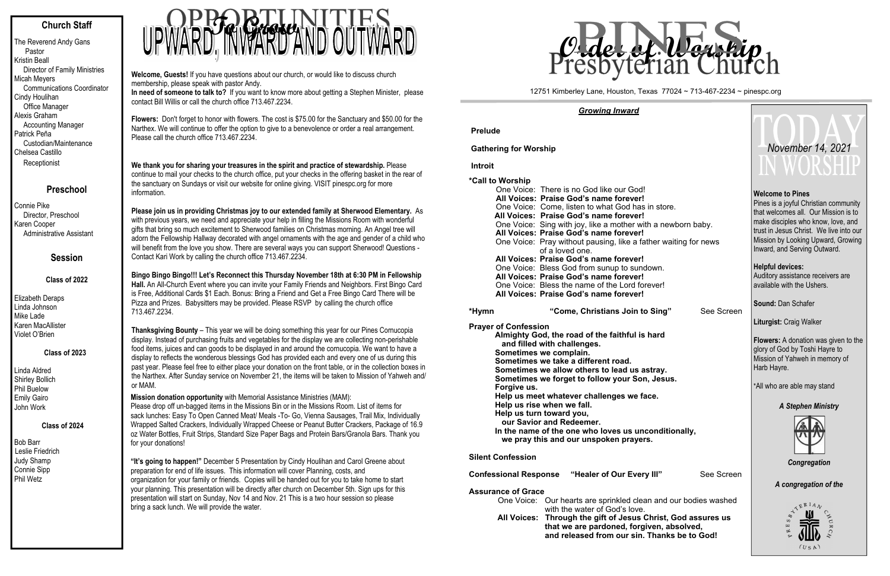## **Church Staff**

The Reverend Andy Gans Pastor Kristin Beall Director of Family Ministries Micah Meyers Communications Coordinator Cindy Houlihan Office Manager Alexis Graham Accounting Manager Patrick Peña Custodian/Maintenance Chelsea Castillo **Receptionist** 

#### **Preschool**

Connie Pike Director, Preschool Karen Cooper Administrative Assistant

## **Session**

#### **Class of 2022**

Elizabeth Deraps Linda Johnson Mike Lade Karen MacAllister Violet O'Brien

#### **Class of 2023**

Linda Aldred Shirley Bollich Phil Buelow Emily Gairo John Work

#### **Class of 2024**

Bob Barr Leslie Friedrich Judy Shamp Connie Sipp Phil Wetz

# **TO GROW AND O**

**Welcome, Guests!** If you have questions about our church, or would like to discuss church membership, please speak with pastor Andy.

**Please join us in providing Christmas joy to our extended family at Sherwood Elementary.** As with previous years, we need and appreciate your help in filling the Missions Room with wonderful gifts that bring so much excitement to Sherwood families on Christmas morning. An Angel tree will adorn the Fellowship Hallway decorated with angel ornaments with the age and gender of a child who will benefit from the love you show. There are several ways you can support Sherwood! Questions -<br>Contact Kari Work by calling the church office 713.467.2234. Contact Kari Work by calling the church office 713.467.2234.

 **In need of someone to talk to?** If you want to know more about getting a Stephen Minister, please contact Bill Willis or call the church office 713.467.2234.

**Flowers:** Don't forget to honor with flowers. The cost is \$75.00 for the Sanctuary and \$50.00 for the Narthex. We will continue to offer the option to give to a benevolence or order a real arrangement. Please call the church office 713.467.2234.

**We thank you for sharing your treasures in the spirit and practice of stewardship.** Please continue to mail your checks to the church office, put your checks in the offering basket in the rear of the sanctuary on Sundays or visit our website for online giving. VISIT pinespc.org for more information.

One Voice: There is no God like our God! **All Voices: Praise God's name forever!**  One Voice: Come, listen to what God has in store. **All Voices: Praise God's name forever!**  One Voice: Sing with joy, like a mother with a newborr **All Voices: Praise God's name forever!**  One Voice: Pray without pausing, like a father waiting of a loved one. **All Voices: Praise God's name forever!**  One Voice: Bless God from sunup to sundown. **All Voices: Praise God's name forever!**  One Voice: Bless the name of the Lord forever! **All Voices: Praise God's name forever! \*Hym n**"Come, Christians Join to Sing"

**Bingo Bingo Bingo!!! Let's Reconnect this Thursday November 18th at 6:30 PM in Fellowship Hall.** An All-Church Event where you can invite your Family Friends and Neighbors. First Bingo Card is Free, Additional Cards \$1 Each. Bonus: Bring a Friend and Get a Free Bingo Card There will be Pizza and Prizes. Babysitters may be provided. Please RSVP by calling the church office 713.467.2234.

> **Almighty God, the road of the faithful is hard and filled with challenges. Sometimes we complain. Sometimes we take a different road. Sometimes we allow others to lead us astray. Sometimes we forget to follow your Son, Jesus. Forgive us. Help us meet whatever challenges we face. Help us rise when we fall. Help us turn toward you, our Savior and Redeemer.** In the name of the one who loves us unconditionall

**Thanksgiving Bounty** – This year we will be doing something this year for our Pines Cornucopia display. Instead of purchasing fruits and vegetables for the display we are collecting non-perishable food items, juices and can goods to be displayed in and around the cornucopia. We want to have a display to reflects the wonderous blessings God has provided each and every one of us during this past year. Please feel free to either place your donation on the front table, or in the collection boxes in the Narthex. After Sunday service on November 21, the items will be taken to Mission of Yahweh and/or MAM.

**Mission donation opportunity** with Memorial Assistance Ministries (MAM): Please drop off un-bagged items in the Missions Bin or in the Missions Room. List of items for sack lunches: Easy To Open Canned Meat/ Meals -To- Go, Vienna Sausages, Trail Mix, Individually Wrapped Salted Crackers, Individually Wrapped Cheese or Peanut Butter Crackers, Package of 16.9 oz Water Bottles, Fruit Strips, Standard Size Paper Bags and Protein Bars/Granola Bars. Thank you for your donations!

**"It's going to happen!"** December 5 Presentation by Cindy Houlihan and Carol Greene about preparation for end of life issues. This information will cover Planning, costs, and organization for your family or friends. Copies will be handed out for you to take home to start your planning. This presentation will be directly after church on December 5th. Sign ups for this presentation will start on Sunday, Nov 14 and Nov. 21 This is a two hour session so please bring a sack lunch. We will provide the water.

 *Growing Inward* 

**Prelude**

**Gathering for Worship** 

 **Introit**

**\*Call to Worship**

**Prayer of Confession**

 **we pray this and our unspoken prayers.** 

**Silent Confession** 

**Confessional Response "Healer of Our Every III"** 

#### **Assurance of Grace**

| One Voice: Our hearts are sprinkled clean and our be |
|------------------------------------------------------|
| with the water of God's love.                        |
| All Voices: Through the gift of Jesus Christ, God    |
| that we are pardoned, forgiven, absolv               |
| and released from our sin. Thanks be                 |

#### 12751 Kimberley Lane, Houston, Texas 77024 ~ 713-467-2234 ~ pinespc.org

|                               | November 14, 2021                                                                                                                                                                                                                                               |  |  |  |  |  |  |
|-------------------------------|-----------------------------------------------------------------------------------------------------------------------------------------------------------------------------------------------------------------------------------------------------------------|--|--|--|--|--|--|
| h baby.<br>for news           | <b>Welcome to Pines</b><br>Pines is a joyful Christian community<br>that welcomes all. Our Mission is to<br>make disciples who know, love, and<br>trust in Jesus Christ. We live into our<br>Mission by Looking Upward, Growing<br>Inward, and Serving Outward. |  |  |  |  |  |  |
|                               | <b>Helpful devices:</b><br>Auditory assistance receivers are<br>available with the Ushers.                                                                                                                                                                      |  |  |  |  |  |  |
| See Screen                    | Sound: Dan Schafer                                                                                                                                                                                                                                              |  |  |  |  |  |  |
|                               | <b>Liturgist: Craig Walker</b>                                                                                                                                                                                                                                  |  |  |  |  |  |  |
|                               | <b>Flowers:</b> A donation was given to the<br>glory of God by Toshi Hayre to<br>Mission of Yahweh in memory of<br>Harb Hayre.                                                                                                                                  |  |  |  |  |  |  |
|                               | *All who are able may stand                                                                                                                                                                                                                                     |  |  |  |  |  |  |
|                               | <b>A Stephen Ministry</b>                                                                                                                                                                                                                                       |  |  |  |  |  |  |
| у,                            |                                                                                                                                                                                                                                                                 |  |  |  |  |  |  |
| See Screen                    | Congregation                                                                                                                                                                                                                                                    |  |  |  |  |  |  |
|                               | A congregation of the                                                                                                                                                                                                                                           |  |  |  |  |  |  |
| odies washed                  | $E^{RIA}$                                                                                                                                                                                                                                                       |  |  |  |  |  |  |
| assures us<br>ved,<br>to God! | S<br>щ<br>吆                                                                                                                                                                                                                                                     |  |  |  |  |  |  |
|                               | (USA)                                                                                                                                                                                                                                                           |  |  |  |  |  |  |